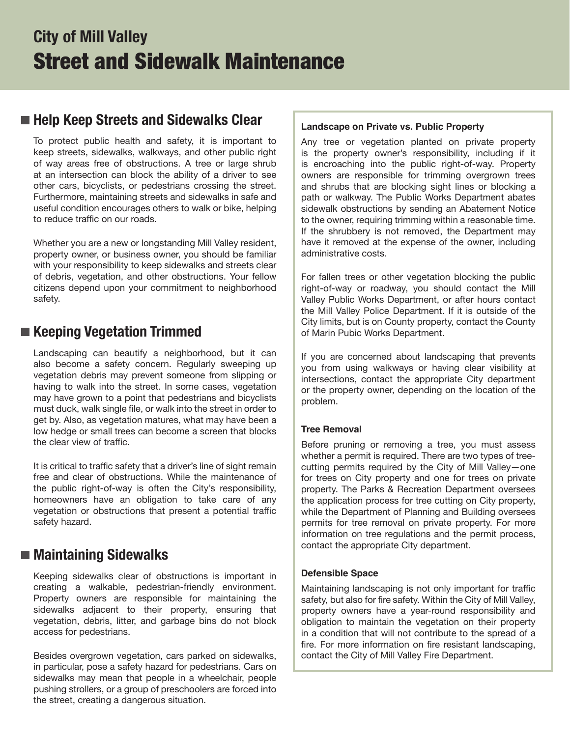# **City of Mill Valley** Street and Sidewalk Maintenance

### **Help Keep Streets and Sidewalks Clear**

To protect public health and safety, it is important to keep streets, sidewalks, walkways, and other public right of way areas free of obstructions. A tree or large shrub at an intersection can block the ability of a driver to see other cars, bicyclists, or pedestrians crossing the street. Furthermore, maintaining streets and sidewalks in safe and useful condition encourages others to walk or bike, helping to reduce traffic on our roads.

Whether you are a new or longstanding Mill Valley resident, property owner, or business owner, you should be familiar with your responsibility to keep sidewalks and streets clear of debris, vegetation, and other obstructions. Your fellow citizens depend upon your commitment to neighborhood safety.

### **Keeping Vegetation Trimmed**

Landscaping can beautify a neighborhood, but it can also become a safety concern. Regularly sweeping up vegetation debris may prevent someone from slipping or having to walk into the street. In some cases, vegetation may have grown to a point that pedestrians and bicyclists must duck, walk single file, or walk into the street in order to get by. Also, as vegetation matures, what may have been a low hedge or small trees can become a screen that blocks the clear view of traffic.

It is critical to traffic safety that a driver's line of sight remain free and clear of obstructions. While the maintenance of the public right-of-way is often the City's responsibility, homeowners have an obligation to take care of any vegetation or obstructions that present a potential traffic safety hazard.

### **Maintaining Sidewalks**

Keeping sidewalks clear of obstructions is important in creating a walkable, pedestrian-friendly environment. Property owners are responsible for maintaining the sidewalks adjacent to their property, ensuring that vegetation, debris, litter, and garbage bins do not block access for pedestrians.

Besides overgrown vegetation, cars parked on sidewalks, in particular, pose a safety hazard for pedestrians. Cars on sidewalks may mean that people in a wheelchair, people pushing strollers, or a group of preschoolers are forced into the street, creating a dangerous situation.

#### **Landscape on Private vs. Public Property**

Any tree or vegetation planted on private property is the property owner's responsibility, including if it is encroaching into the public right-of-way. Property owners are responsible for trimming overgrown trees and shrubs that are blocking sight lines or blocking a path or walkway. The Public Works Department abates sidewalk obstructions by sending an Abatement Notice to the owner, requiring trimming within a reasonable time. If the shrubbery is not removed, the Department may have it removed at the expense of the owner, including administrative costs.

For fallen trees or other vegetation blocking the public right-of-way or roadway, you should contact the Mill Valley Public Works Department, or after hours contact the Mill Valley Police Department. If it is outside of the City limits, but is on County property, contact the County of Marin Pubic Works Department.

If you are concerned about landscaping that prevents you from using walkways or having clear visibility at intersections, contact the appropriate City department or the property owner, depending on the location of the problem.

#### **Tree Removal**

Before pruning or removing a tree, you must assess whether a permit is required. There are two types of treecutting permits required by the City of Mill Valley—one for trees on City property and one for trees on private property. The Parks & Recreation Department oversees the application process for tree cutting on City property, while the Department of Planning and Building oversees permits for tree removal on private property. For more information on tree regulations and the permit process, contact the appropriate City department.

#### **Defensible Space**

Maintaining landscaping is not only important for traffic safety, but also for fire safety. Within the City of Mill Valley, property owners have a year-round responsibility and obligation to maintain the vegetation on their property in a condition that will not contribute to the spread of a fire. For more information on fire resistant landscaping, contact the City of Mill Valley Fire Department.